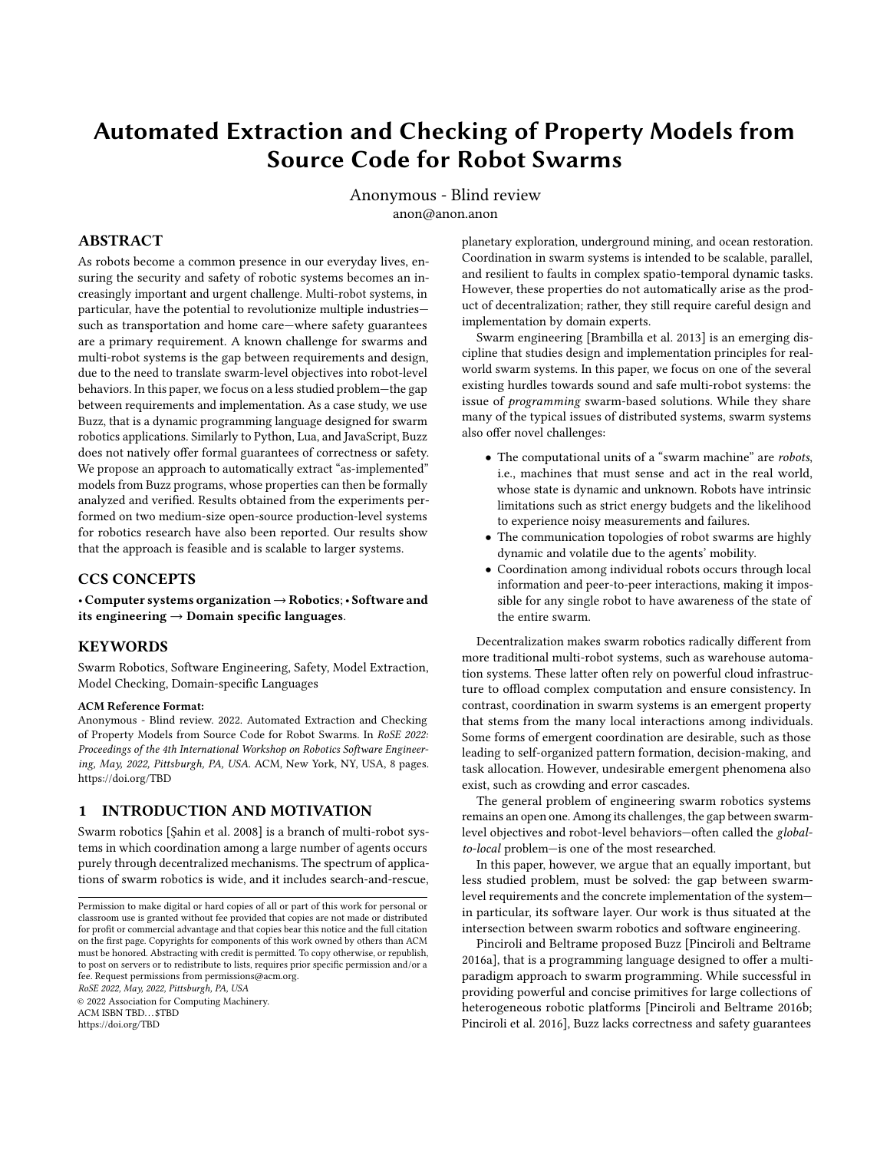# Automated Extraction and Checking of Property Models from Source Code for Robot Swarms

Anonymous - Blind review anon@anon.anon

# ABSTRACT

As robots become a common presence in our everyday lives, ensuring the security and safety of robotic systems becomes an increasingly important and urgent challenge. Multi-robot systems, in particular, have the potential to revolutionize multiple industries such as transportation and home care—where safety guarantees are a primary requirement. A known challenge for swarms and multi-robot systems is the gap between requirements and design, due to the need to translate swarm-level objectives into robot-level behaviors. In this paper, we focus on a less studied problem—the gap between requirements and implementation. As a case study, we use Buzz, that is a dynamic programming language designed for swarm robotics applications. Similarly to Python, Lua, and JavaScript, Buzz does not natively offer formal guarantees of correctness or safety. We propose an approach to automatically extract "as-implemented" models from Buzz programs, whose properties can then be formally analyzed and verified. Results obtained from the experiments performed on two medium-size open-source production-level systems for robotics research have also been reported. Our results show that the approach is feasible and is scalable to larger systems.

### CCS CONCEPTS

• Computer systems organization→Robotics;• Software and its engineering  $\rightarrow$  Domain specific languages.

### KEYWORDS

Swarm Robotics, Software Engineering, Safety, Model Extraction, Model Checking, Domain-specific Languages

#### ACM Reference Format:

Anonymous - Blind review. 2022. Automated Extraction and Checking of Property Models from Source Code for Robot Swarms. In RoSE 2022: Proceedings of the 4th International Workshop on Robotics Software Engineering, May, 2022, Pittsburgh, PA, USA. ACM, New York, NY, USA, [8](#page-7-0) pages. <https://doi.org/TBD>

# 1 INTRODUCTION AND MOTIVATION

Swarm robotics [\[Şahin et al.](#page-7-1) [2008\]](#page-7-1) is a branch of multi-robot systems in which coordination among a large number of agents occurs purely through decentralized mechanisms. The spectrum of applications of swarm robotics is wide, and it includes search-and-rescue,

RoSE 2022, May, 2022, Pittsburgh, PA, USA

© 2022 Association for Computing Machinery. ACM ISBN TBD...\$TBD <https://doi.org/TBD>

planetary exploration, underground mining, and ocean restoration. Coordination in swarm systems is intended to be scalable, parallel, and resilient to faults in complex spatio-temporal dynamic tasks. However, these properties do not automatically arise as the product of decentralization; rather, they still require careful design and implementation by domain experts.

Swarm engineering [\[Brambilla et al.](#page-7-2) [2013\]](#page-7-2) is an emerging discipline that studies design and implementation principles for realworld swarm systems. In this paper, we focus on one of the several existing hurdles towards sound and safe multi-robot systems: the issue of programming swarm-based solutions. While they share many of the typical issues of distributed systems, swarm systems also offer novel challenges:

- The computational units of a "swarm machine" are robots, i.e., machines that must sense and act in the real world, whose state is dynamic and unknown. Robots have intrinsic limitations such as strict energy budgets and the likelihood to experience noisy measurements and failures.
- The communication topologies of robot swarms are highly dynamic and volatile due to the agents' mobility.
- Coordination among individual robots occurs through local information and peer-to-peer interactions, making it impossible for any single robot to have awareness of the state of the entire swarm.

Decentralization makes swarm robotics radically different from more traditional multi-robot systems, such as warehouse automation systems. These latter often rely on powerful cloud infrastructure to offload complex computation and ensure consistency. In contrast, coordination in swarm systems is an emergent property that stems from the many local interactions among individuals. Some forms of emergent coordination are desirable, such as those leading to self-organized pattern formation, decision-making, and task allocation. However, undesirable emergent phenomena also exist, such as crowding and error cascades.

The general problem of engineering swarm robotics systems remains an open one. Among its challenges, the gap between swarmlevel objectives and robot-level behaviors—often called the globalto-local problem—is one of the most researched.

In this paper, however, we argue that an equally important, but less studied problem, must be solved: the gap between swarmlevel requirements and the concrete implementation of the system in particular, its software layer. Our work is thus situated at the intersection between swarm robotics and software engineering.

Pinciroli and Beltrame proposed Buzz [\[Pinciroli and Beltrame](#page-7-3) [2016a\]](#page-7-3), that is a programming language designed to offer a multiparadigm approach to swarm programming. While successful in providing powerful and concise primitives for large collections of heterogeneous robotic platforms [\[Pinciroli and Beltrame 2016b;](#page-7-4) [Pinciroli et al.](#page-7-5) [2016\]](#page-7-5), Buzz lacks correctness and safety guarantees

Permission to make digital or hard copies of all or part of this work for personal or classroom use is granted without fee provided that copies are not made or distributed for profit or commercial advantage and that copies bear this notice and the full citation on the first page. Copyrights for components of this work owned by others than ACM must be honored. Abstracting with credit is permitted. To copy otherwise, or republish, to post on servers or to redistribute to lists, requires prior specific permission and/or a fee. Request permissions from permissions@acm.org.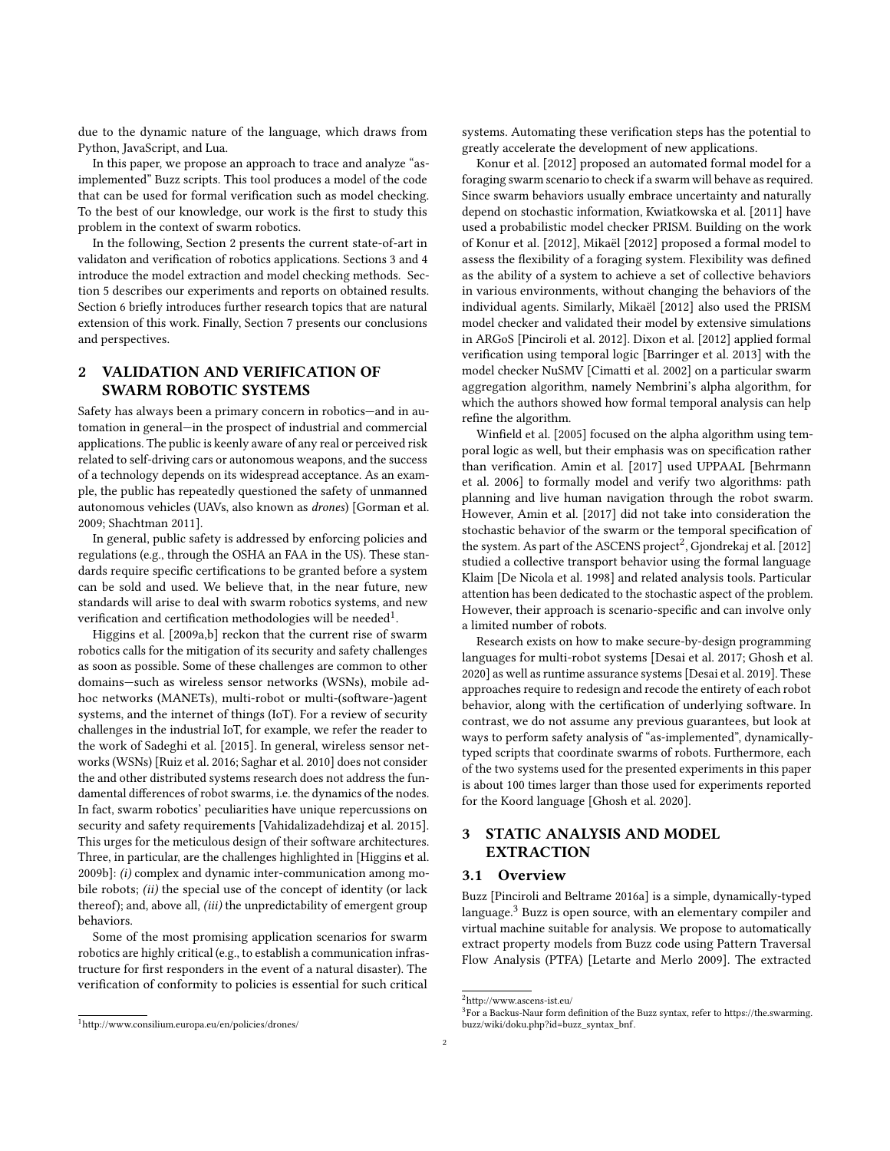due to the dynamic nature of the language, which draws from Python, JavaScript, and Lua.

In this paper, we propose an approach to trace and analyze "asimplemented" Buzz scripts. This tool produces a model of the code that can be used for formal verification such as model checking. To the best of our knowledge, our work is the first to study this problem in the context of swarm robotics.

In the following, Section [2](#page-1-0) presents the current state-of-art in validaton and verification of robotics applications. Sections [3](#page-1-1) and [4](#page-3-0) introduce the model extraction and model checking methods. Section [5](#page-3-1) describes our experiments and reports on obtained results. Section [6](#page-6-0) briefly introduces further research topics that are natural extension of this work. Finally, Section [7](#page-7-6) presents our conclusions and perspectives.

# <span id="page-1-0"></span>2 VALIDATION AND VERIFICATION OF SWARM ROBOTIC SYSTEMS

Safety has always been a primary concern in robotics—and in automation in general—in the prospect of industrial and commercial applications. The public is keenly aware of any real or perceived risk related to self-driving cars or autonomous weapons, and the success of a technology depends on its widespread acceptance. As an example, the public has repeatedly questioned the safety of unmanned autonomous vehicles (UAVs, also known as drones) [\[Gorman et al.](#page-7-7) [2009;](#page-7-7) [Shachtman 2011\]](#page-7-8).

In general, public safety is addressed by enforcing policies and regulations (e.g., through the OSHA an FAA in the US). These standards require specific certifications to be granted before a system can be sold and used. We believe that, in the near future, new standards will arise to deal with swarm robotics systems, and new verification and certification methodologies will be needed $^1$  $^1$ .

[Higgins et al.](#page-7-9) [\[2009a,](#page-7-9)[b\]](#page-7-10) reckon that the current rise of swarm robotics calls for the mitigation of its security and safety challenges as soon as possible. Some of these challenges are common to other domains—such as wireless sensor networks (WSNs), mobile adhoc networks (MANETs), multi-robot or multi-(software-)agent systems, and the internet of things (IoT). For a review of security challenges in the industrial IoT, for example, we refer the reader to the work of [Sadeghi et al.](#page-7-11) [\[2015\]](#page-7-11). In general, wireless sensor networks (WSNs) [\[Ruiz et al.](#page-7-12) [2016;](#page-7-12) [Saghar et al.](#page-7-13) [2010\]](#page-7-13) does not consider the and other distributed systems research does not address the fundamental differences of robot swarms, i.e. the dynamics of the nodes. In fact, swarm robotics' peculiarities have unique repercussions on security and safety requirements [\[Vahidalizadehdizaj et al.](#page-7-14) [2015\]](#page-7-14). This urges for the meticulous design of their software architectures. Three, in particular, are the challenges highlighted in [\[Higgins et al.](#page-7-10) [2009b\]](#page-7-10): (i) complex and dynamic inter-communication among mobile robots; *(ii)* the special use of the concept of identity (or lack thereof); and, above all, (iii) the unpredictability of emergent group behaviors.

Some of the most promising application scenarios for swarm robotics are highly critical (e.g., to establish a communication infrastructure for first responders in the event of a natural disaster). The verification of conformity to policies is essential for such critical

<span id="page-1-2"></span><sup>1</sup><http://www.consilium.europa.eu/en/policies/drones/>

systems. Automating these verification steps has the potential to greatly accelerate the development of new applications.

[Konur et al.](#page-7-15) [\[2012\]](#page-7-15) proposed an automated formal model for a foraging swarm scenario to check if a swarm will behave as required. Since swarm behaviors usually embrace uncertainty and naturally depend on stochastic information, [Kwiatkowska et al.](#page-7-16) [\[2011\]](#page-7-16) have used a probabilistic model checker PRISM. Building on the work of [Konur et al.](#page-7-15) [\[2012\]](#page-7-15), [Mikaël](#page-7-17) [\[2012\]](#page-7-17) proposed a formal model to assess the flexibility of a foraging system. Flexibility was defined as the ability of a system to achieve a set of collective behaviors in various environments, without changing the behaviors of the individual agents. Similarly, [Mikaël](#page-7-17) [\[2012\]](#page-7-17) also used the PRISM model checker and validated their model by extensive simulations in ARGoS [\[Pinciroli et al.](#page-7-18) [2012\]](#page-7-18). [Dixon et al.](#page-7-19) [\[2012\]](#page-7-19) applied formal verification using temporal logic [\[Barringer et al.](#page-7-20) [2013\]](#page-7-20) with the model checker NuSMV [\[Cimatti et al.](#page-7-21) [2002\]](#page-7-21) on a particular swarm aggregation algorithm, namely Nembrini's alpha algorithm, for which the authors showed how formal temporal analysis can help refine the algorithm.

[Winfield et al.](#page-7-22) [\[2005\]](#page-7-22) focused on the alpha algorithm using temporal logic as well, but their emphasis was on specification rather than verification. [Amin et al.](#page-7-23) [\[2017\]](#page-7-23) used UPPAAL [\[Behrmann](#page-7-24) [et al.](#page-7-24) [2006\]](#page-7-24) to formally model and verify two algorithms: path planning and live human navigation through the robot swarm. However, [Amin et al.](#page-7-23) [\[2017\]](#page-7-23) did not take into consideration the stochastic behavior of the swarm or the temporal specification of the system. As part of the ASCENS project<sup>[2](#page-1-3)</sup>, [Gjondrekaj et al.](#page-7-25) [\[2012\]](#page-7-25) studied a collective transport behavior using the formal language Klaim [\[De Nicola et al.](#page-7-26) [1998\]](#page-7-26) and related analysis tools. Particular attention has been dedicated to the stochastic aspect of the problem. However, their approach is scenario-specific and can involve only a limited number of robots.

Research exists on how to make secure-by-design programming languages for multi-robot systems [\[Desai et al.](#page-7-27) [2017;](#page-7-27) [Ghosh et al.](#page-7-28) [2020\]](#page-7-28) as well as runtime assurance systems [\[Desai et al.](#page-7-29) [2019\]](#page-7-29). These approaches require to redesign and recode the entirety of each robot behavior, along with the certification of underlying software. In contrast, we do not assume any previous guarantees, but look at ways to perform safety analysis of "as-implemented", dynamicallytyped scripts that coordinate swarms of robots. Furthermore, each of the two systems used for the presented experiments in this paper is about 100 times larger than those used for experiments reported for the Koord language [\[Ghosh et al. 2020\]](#page-7-28).

# <span id="page-1-1"></span>3 STATIC ANALYSIS AND MODEL EXTRACTION

### 3.1 Overview

Buzz [\[Pinciroli and Beltrame 2016a\]](#page-7-3) is a simple, dynamically-typed language.[3](#page-1-4) Buzz is open source, with an elementary compiler and virtual machine suitable for analysis. We propose to automatically extract property models from Buzz code using Pattern Traversal Flow Analysis (PTFA) [\[Letarte and Merlo 2009\]](#page-7-30). The extracted

<span id="page-1-3"></span> $^2$ http://www.ascens-ist.eu/

<span id="page-1-4"></span><sup>&</sup>lt;sup>3</sup>For a Backus-Naur form definition of the Buzz syntax, refer to [https://the.swarming.](https://the.swarming.buzz/wiki/doku.php?id=buzz_syntax_bnf) [buzz/wiki/doku.php?id=buzz\\_syntax\\_bnf.](https://the.swarming.buzz/wiki/doku.php?id=buzz_syntax_bnf)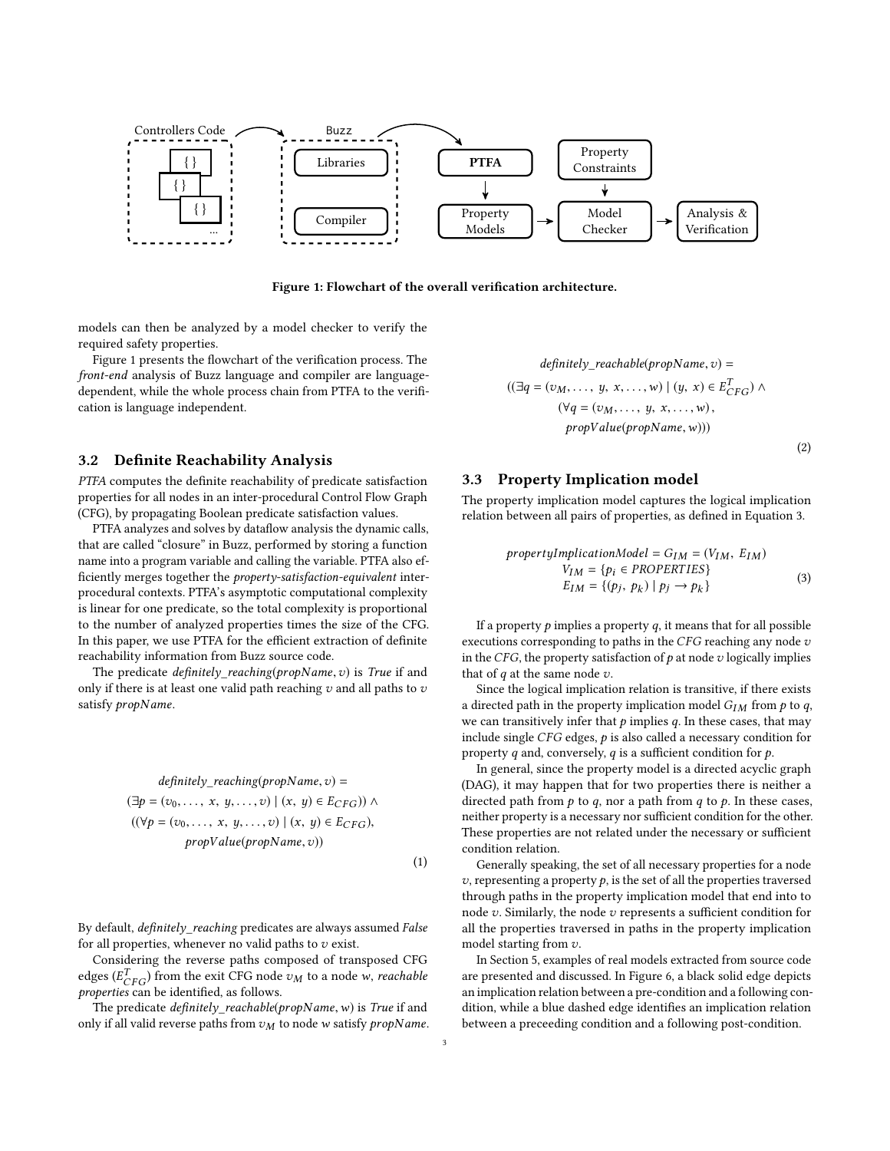<span id="page-2-0"></span>

Figure 1: Flowchart of the overall verification architecture.

models can then be analyzed by a model checker to verify the required safety properties.

Figure [1](#page-2-0) presents the flowchart of the verification process. The front-end analysis of Buzz language and compiler are languagedependent, while the whole process chain from PTFA to the verification is language independent.

### 3.2 Definite Reachability Analysis

PTFA computes the definite reachability of predicate satisfaction properties for all nodes in an inter-procedural Control Flow Graph (CFG), by propagating Boolean predicate satisfaction values.

PTFA analyzes and solves by dataflow analysis the dynamic calls, that are called "closure" in Buzz, performed by storing a function name into a program variable and calling the variable. PTFA also efficiently merges together the property-satisfaction-equivalent interprocedural contexts. PTFA's asymptotic computational complexity is linear for one predicate, so the total complexity is proportional to the number of analyzed properties times the size of the CFG. In this paper, we use PTFA for the efficient extraction of definite reachability information from Buzz source code.

The predicate  $definitely\_reaching(propName, v)$  is True if and only if there is at least one valid path reaching  $v$  and all paths to  $v$ satisfy propName.

$$
definitely\_reaching(propName, v) =
$$

$$
(\exists p = (v_0, \ldots, x, y, \ldots, v) | (x, y) \in E_{CFG}) \land
$$

$$
((\forall p = (v_0, \ldots, x, y, \ldots, v) | (x, y) \in E_{CFG}),
$$

$$
propValue(propName, v))
$$

(1)

By default, definitely\_reaching predicates are always assumed False for all properties, whenever no valid paths to  $v$  exist.

Considering the reverse paths composed of transposed CFG edges ( $E_{CFG}^T$ ) from the exit CFG node  $v_M$  to a node w, *reachable*<br>properties can be identified, as follows properties can be identified, as follows.

The predicate  $definitely\_reachable(propName, w)$  is True if and only if all valid reverse paths from  $v_M$  to node w satisfy propName.

$$
definitely\_reachable(propName, v) =
$$

$$
((\exists q = (v_M, ..., y, x, ..., w) \mid (y, x) \in E_{CFG}^T) \land
$$

$$
(\forall q = (v_M, ..., y, x, ..., w),
$$

$$
propValue(propName, w)))
$$
\n(2)

### 3.3 Property Implication model

The property implication model captures the logical implication relation between all pairs of properties, as defined in Equation [3.](#page-2-1)

<span id="page-2-1"></span>
$$
propertyImplicationModel = G_{IM} = (V_{IM}, E_{IM})
$$
  
\n
$$
V_{IM} = \{p_i \in PROPERTIES\}
$$
  
\n
$$
E_{IM} = \{(p_j, p_k) \mid p_j \rightarrow p_k\}
$$
  
\n(3)

If a property  $p$  implies a property  $q$ , it means that for all possible executions corresponding to paths in the  $CFG$  reaching any node  $v$ in the CFG, the property satisfaction of  $p$  at node  $v$  logically implies that of  $q$  at the same node  $v$ .

Since the logical implication relation is transitive, if there exists a directed path in the property implication model  $G_{IM}$  from p to q, we can transitively infer that  $p$  implies  $q$ . In these cases, that may include single  $CFG$  edges,  $p$  is also called a necessary condition for property  $q$  and, conversely,  $q$  is a sufficient condition for  $p$ .

In general, since the property model is a directed acyclic graph (DAG), it may happen that for two properties there is neither a directed path from  $p$  to  $q$ , nor a path from  $q$  to  $p$ . In these cases, neither property is a necessary nor sufficient condition for the other. These properties are not related under the necessary or sufficient condition relation.

Generally speaking, the set of all necessary properties for a node  $v$ , representing a property  $p$ , is the set of all the properties traversed through paths in the property implication model that end into to node  $v$ . Similarly, the node  $v$  represents a sufficient condition for all the properties traversed in paths in the property implication model starting from v.

In Section [5,](#page-3-1) examples of real models extracted from source code are presented and discussed. In Figure [6,](#page-5-0) a black solid edge depicts an implication relation between a pre-condition and a following condition, while a blue dashed edge identifies an implication relation between a preceeding condition and a following post-condition.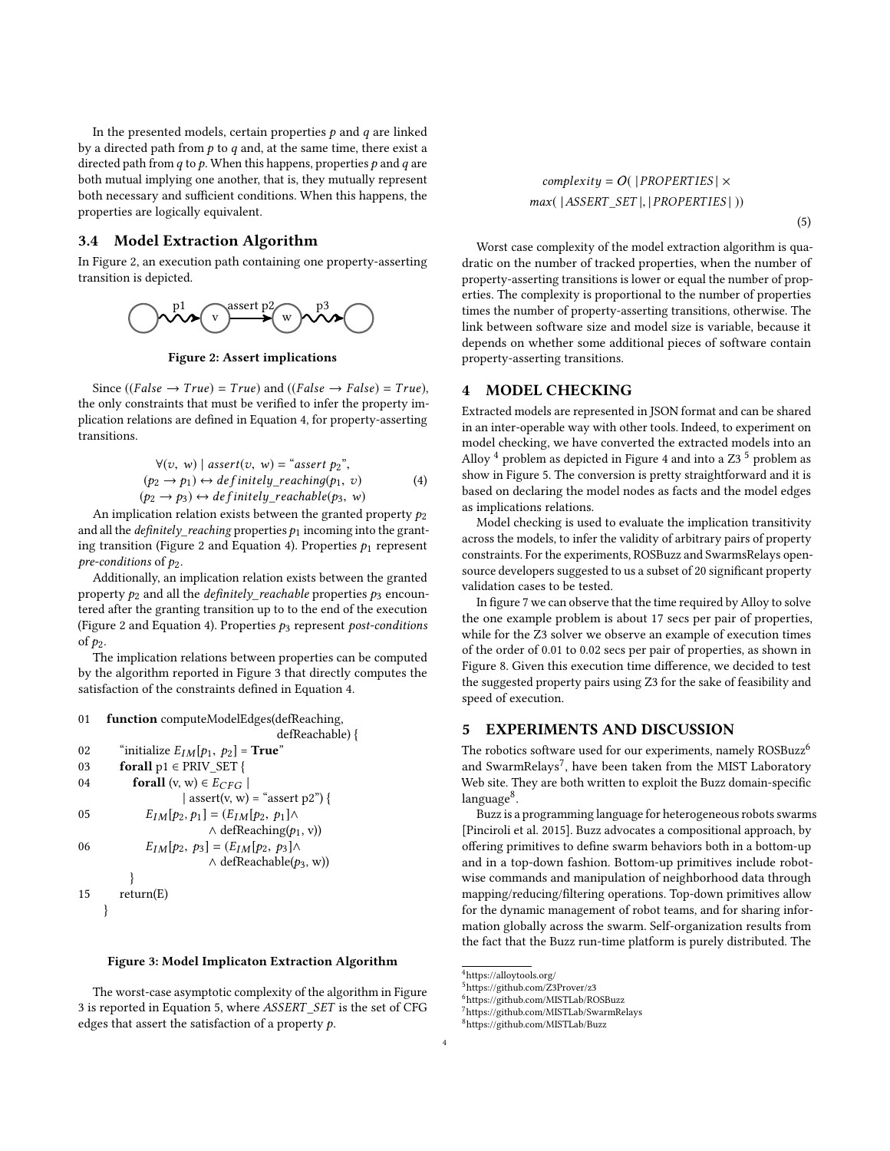In the presented models, certain properties  $p$  and  $q$  are linked by a directed path from  $p$  to  $q$  and, at the same time, there exist a directed path from  $q$  to  $p$ . When this happens, properties  $p$  and  $q$  are both mutual implying one another, that is, they mutually represent both necessary and sufficient conditions. When this happens, the properties are logically equivalent.

# 3.4 Model Extraction Algorithm

<span id="page-3-2"></span>In Figure [2,](#page-3-2) an execution path containing one property-asserting transition is depicted.



Figure 2: Assert implications

Since ((False  $\rightarrow True$ ) = True) and ((False  $\rightarrow False$ ) = True), the only constraints that must be verified to infer the property implication relations are defined in Equation [4,](#page-3-3) for property-asserting transitions.

<span id="page-3-3"></span>
$$
\forall (v, w) \mid assert(v, w) = "assert p2",(p2 \rightarrow p1) \leftrightarrow definitely_reaching(p1, v) \tag{4}(p2 \rightarrow p3) \leftrightarrow definitely_reachable(p3, w)
$$

An implication relation exists between the granted property  $p_2$ <br>dall the *definitely, reaching* properties  $p_2$  incoming into the grant. and all the *definitely reaching* properties  $p_1$  incoming into the grant-ing transition (Figure [2](#page-3-2) and Equation [4\)](#page-3-3). Properties  $p_1$  represent pre-conditions of  $p_2$ .

Additionally, an implication relation exists between the granted property  $p_2$  and all the *definitely\_reachable* properties  $p_3$  encountered after the granting transition up to to the end of the execution (Figure [2](#page-3-2) and Equation [4\)](#page-3-3). Properties  $p_3$  represent post-conditions of p2.

The implication relations between properties can be computed by the algorithm reported in Figure [3](#page-3-4) that directly computes the satisfaction of the constraints defined in Equation [4.](#page-3-3)

<span id="page-3-4"></span>01 function computeModelEdges(defReaching,

```
defReachable) {
02 "initialize E_{IM}[p_1, p_2] = True"<br>03 forall p_1 \in PRIV SET {
         forall p1 \in PRIV\_SET {
04 forall (v, w) \in E_{CFG}\vert assert(v, w) = "assert p2") {
05 E_{IM}[p_2, p_1] = (E_{IM}[p_2, p_1]) \wedge\wedge defReaching(p_1, v))
06 E_{IM}[p_2, p_3] = (E_{IM}[p_2, p_3]) \wedge\wedge defReachable(p_3, w))
           }
15 return(E)
     }
```
#### Figure 3: Model Implicaton Extraction Algorithm

The worst-case asymptotic complexity of the algorithm in Figure [3](#page-3-4) is reported in Equation [5,](#page-3-5) where ASSERT \_SET is the set of CFG edges that assert the satisfaction of a property  $p$ .

 $complexity = O(|PROPERTIES| \times$ max( |ASSERT \_SET <sup>|</sup>, <sup>|</sup> PROPERTIES | ))

<span id="page-3-5"></span>(5)

Worst case complexity of the model extraction algorithm is quadratic on the number of tracked properties, when the number of property-asserting transitions is lower or equal the number of properties. The complexity is proportional to the number of properties times the number of property-asserting transitions, otherwise. The link between software size and model size is variable, because it depends on whether some additional pieces of software contain property-asserting transitions.

# <span id="page-3-0"></span>4 MODEL CHECKING

Extracted models are represented in JSON format and can be shared in an inter-operable way with other tools. Indeed, to experiment on model checking, we have converted the extracted models into an Alloy  $4$  problem as depicted in Figure [4](#page-4-0) and into a Z3<sup>[5](#page-3-7)</sup> problem as show in Figure [5.](#page-4-1) The conversion is pretty straightforward and it is based on declaring the model nodes as facts and the model edges as implications relations.

Model checking is used to evaluate the implication transitivity across the models, to infer the validity of arbitrary pairs of property constraints. For the experiments, ROSBuzz and SwarmsRelays opensource developers suggested to us a subset of 20 significant property validation cases to be tested.

In figure [7](#page-6-1) we can observe that the time required by Alloy to solve the one example problem is about 17 secs per pair of properties, while for the Z3 solver we observe an example of execution times of the order of 0.01 to 0.02 secs per pair of properties, as shown in Figure [8.](#page-6-2) Given this execution time difference, we decided to test the suggested property pairs using Z3 for the sake of feasibility and speed of execution.

# <span id="page-3-1"></span>5 EXPERIMENTS AND DISCUSSION

The robotics software used for our experiments, namely ROSBuzz<sup>[6](#page-3-8)</sup> and SwarmRelays<sup>[7](#page-3-9)</sup>, have been taken from the MIST Laboratory Web site. They are both written to exploit the Buzz domain-specific language<sup>[8](#page-3-10)</sup>.

Buzz is a programming language for heterogeneous robots swarms [\[Pinciroli et al.](#page-7-31) [2015\]](#page-7-31). Buzz advocates a compositional approach, by offering primitives to define swarm behaviors both in a bottom-up and in a top-down fashion. Bottom-up primitives include robotwise commands and manipulation of neighborhood data through mapping/reducing/filtering operations. Top-down primitives allow for the dynamic management of robot teams, and for sharing information globally across the swarm. Self-organization results from the fact that the Buzz run-time platform is purely distributed. The

<span id="page-3-9"></span><sup>7</sup><https://github.com/MISTLab/SwarmRelays>

<span id="page-3-10"></span><sup>8</sup><https://github.com/MISTLab/Buzz>

<span id="page-3-6"></span><sup>4</sup><https://alloytools.org/>

<span id="page-3-7"></span><sup>5</sup><https://github.com/Z3Prover/z3>

<span id="page-3-8"></span><sup>6</sup><https://github.com/MISTLab/ROSBuzz>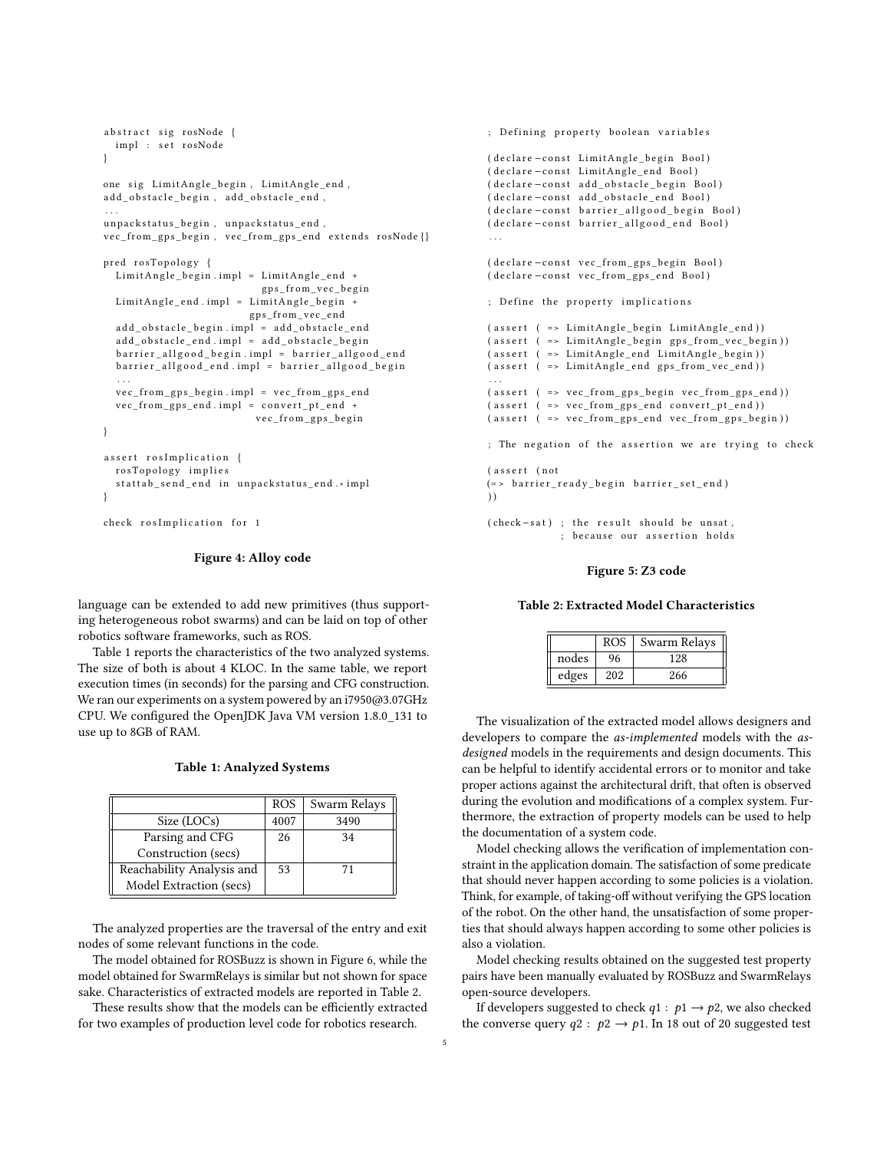```
abstract sig rosNode {
 impl : set rosNode
}
one sig LimitAngle_begin, LimitAngle_end,
add_obstacle_begin, add_obstacle_end,
. . .
unpackstatus_begin, unpackstatus_end,
\verb|vec_from_gps_begin|, \verb|vec_from_gps_and| extends \verb|rosNode|\}pred rosTopology {
  LimitAngle\_begin .impl = LimitAngle\_end +
                            {\tt gps\_from\_vec\_begin} }LimitAngle_end.impl = LimitAngle_begin +
                           g p s_ f r om_ve c_e n d
  add_obstacle_begin.impl = add_obstacle_end
  add_obstacle_end.impl = add_obstacle_begin
  barrier_allgood_begin.impl = barrier_allgood_end
  barrier_allgood_end.impl = barrier_allgood_begin
  . . .
  vec_from_gps_begin.impl = vec_from_gps_end
  vec_{error\_gps\_end .impl = convert\_pt\_end +vec from gps begin
}
assert rosImplication {
  rosTopology implies
  stattab send end in unpackstatus end. * impl
}
```
check rosImplication for 1

#### Figure 4: Alloy code

language can be extended to add new primitives (thus supporting heterogeneous robot swarms) and can be laid on top of other robotics software frameworks, such as ROS.

Table [1](#page-4-2) reports the characteristics of the two analyzed systems. The size of both is about 4 KLOC. In the same table, we report execution times (in seconds) for the parsing and CFG construction. We ran our experiments on a system powered by an i7950@3.07GHz CPU. We configured the OpenJDK Java VM version 1.8.0\_131 to use up to 8GB of RAM.

<span id="page-4-2"></span>

|                           | <b>ROS</b> | Swarm Relays |
|---------------------------|------------|--------------|
| Size (LOCs)               | 4007       | 3490         |
| Parsing and CFG           | 26         | 34           |
| Construction (secs)       |            |              |
| Reachability Analysis and | 53         | 71           |
| Model Extraction (secs)   |            |              |

The analyzed properties are the traversal of the entry and exit nodes of some relevant functions in the code.

The model obtained for ROSBuzz is shown in Figure [6,](#page-5-0) while the model obtained for SwarmRelays is similar but not shown for space sake. Characteristics of extracted models are reported in Table [2.](#page-4-3)

These results show that the models can be efficiently extracted for two examples of production level code for robotics research.

```
; Defining property boolean variables
( declare −const LimitAngle begin Bool)
( declare -const LimitAngle_end Bool)
( declare -const add_obstacle_begin Bool)
( declare -const add_obstacle_end Bool)
( declare -const barrier_allgood_begin Bool)
( declare -const barrier_allgood_end Bool)
. . .
( declare -const vec_from_gps_begin Bool)
( declare −const vec_from_gps_end Bool)
; Define the property implications
(assert (-)= LimitAngle\_begin LimitAngle end))
(assert (-)= LimitAngle_begin gps-from\_vec_begin) )(assert (-)= LimitAngle\_end LimitAngle\_begin)( assert (-> LimitAngle\_end gps\_from\_vec\_end ) ). . .
( assert (--> vec\_from\_gps\_begin\ vecc\_from\_gps\_begin(assert (-)= vec\_from\_gps\_end convert\_pt\_end ))
(assert (-) = vec from gps end vec from gps begin) ); The negation of the assertion we are trying to check
(assert (not
(=> barrier_ready_begin barrier_set_end)
) )
```
 $( check-sat)$ ; the result should be unsat, ; because our assertion holds

#### Figure 5: Z3 code

#### <span id="page-4-3"></span>Table 2: Extracted Model Characteristics

|       | <b>ROS</b> | Swarm Relays |  |
|-------|------------|--------------|--|
| nodes | 96         | 128          |  |
| edges | 202        | 266          |  |

The visualization of the extracted model allows designers and developers to compare the as-implemented models with the asdesigned models in the requirements and design documents. This can be helpful to identify accidental errors or to monitor and take proper actions against the architectural drift, that often is observed during the evolution and modifications of a complex system. Furthermore, the extraction of property models can be used to help the documentation of a system code.

Model checking allows the verification of implementation constraint in the application domain. The satisfaction of some predicate that should never happen according to some policies is a violation. Think, for example, of taking-off without verifying the GPS location of the robot. On the other hand, the unsatisfaction of some properties that should always happen according to some other policies is also a violation.

Model checking results obtained on the suggested test property pairs have been manually evaluated by ROSBuzz and SwarmRelays open-source developers.

If developers suggested to check  $q1 : p1 \rightarrow p2$ , we also checked the converse query  $q2 : p2 \rightarrow p1$ . In 18 out of 20 suggested test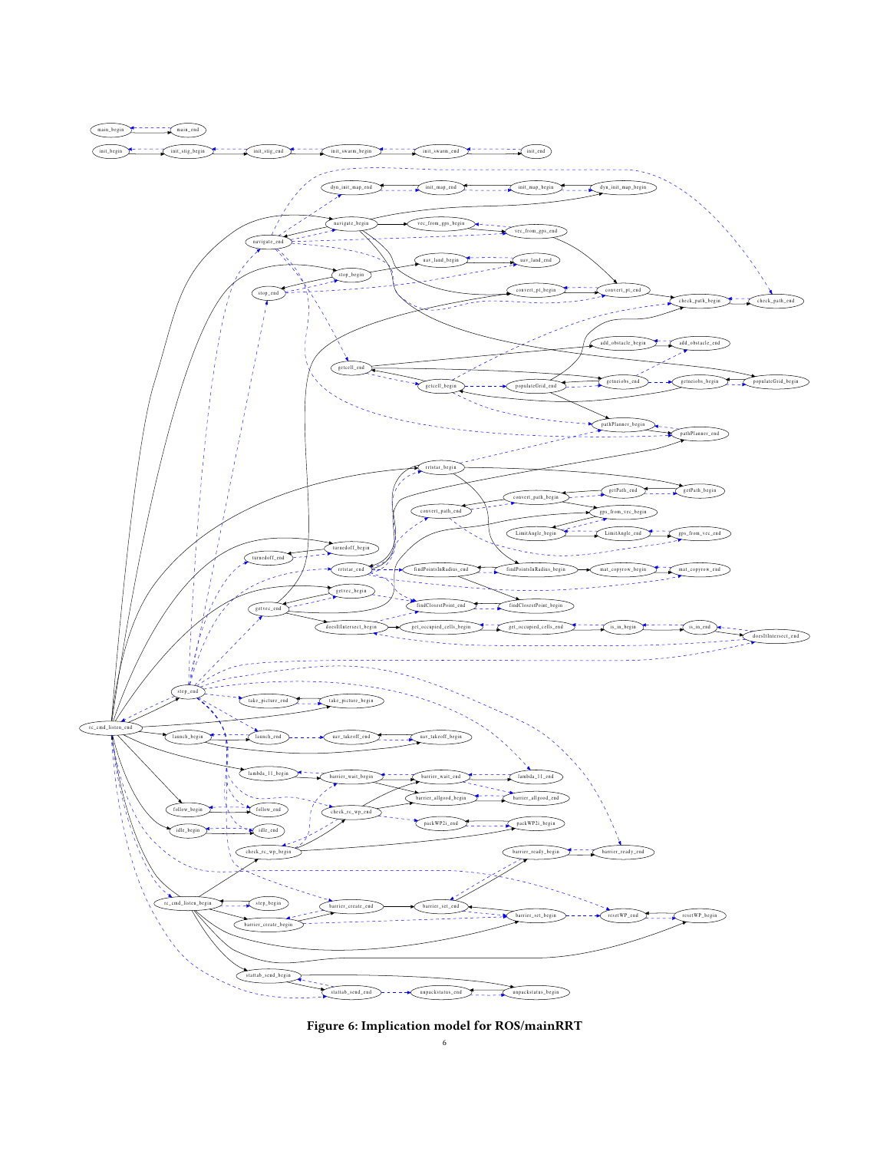<span id="page-5-0"></span>

Figure 6: Implication model for ROS/mainRRT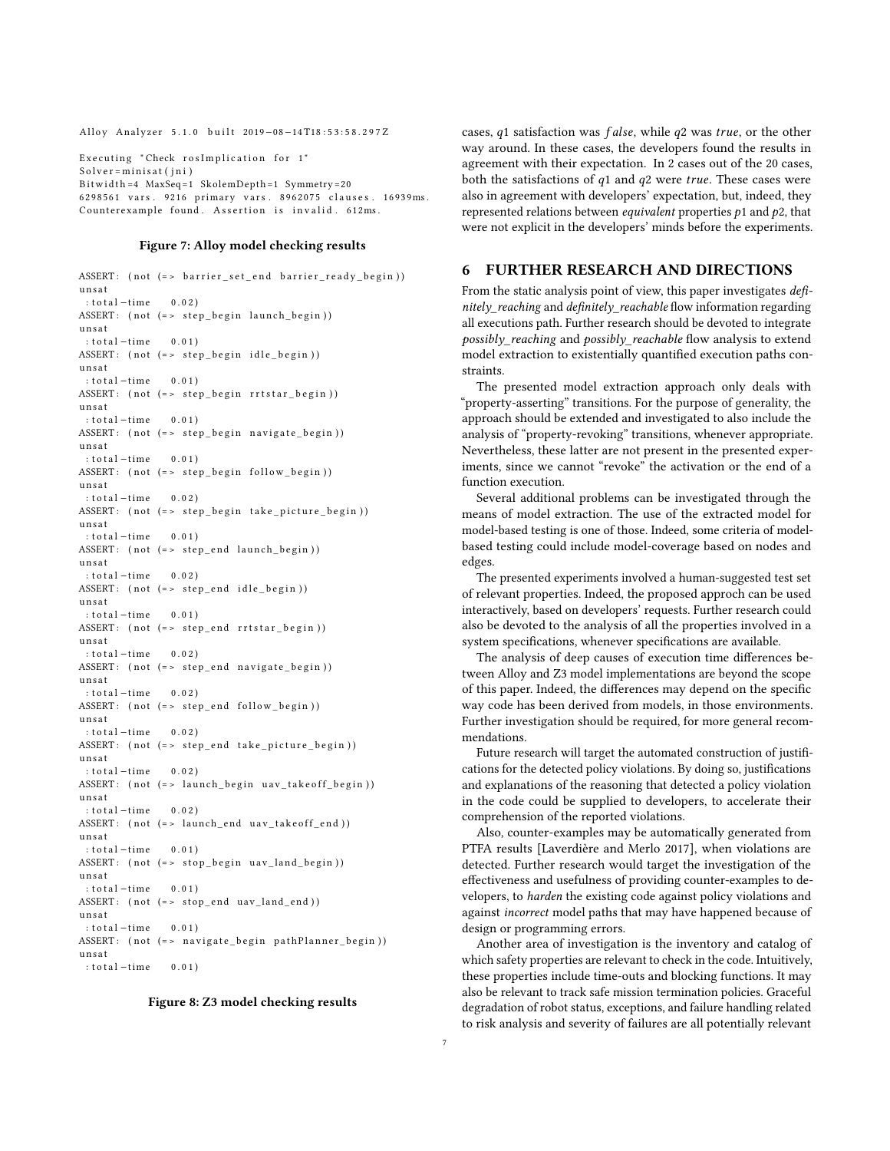<span id="page-6-1"></span>Alloy Analyzer 5.1.0 built 2019-08-14T18:53:58.297Z

Executing " Check ros Implication for 1" Solver=minisat(jni) Bit width =4 MaxSeq=1 SkolemDepth=1 Symmetry=20 6 2 9 8 5 6 1 vars . 9 2 1 6 primary vars . 8 9 6 2 0 7 5 clauses . 16 9 3 9 ms . Counterexample found. Assertion is invalid. 612ms.

#### Figure 7: Alloy model checking results

```
ASSERT: (not (=> barrier_set_end barrier_ready_begin))
u n s a t
 : total - time \t0 02ASSERT: (not (= > step begin launch begin) )u n s a t
 : total-time \t0.01)ASSERT: (not (=> step_begin idle_begin))
u n s a t
: total -time 0.01ASSERT: (not (=> step_begin rrtstar_begin))
u n s a t
: total -time 0.01ASSERT: (not (=> step_begin navigate_begin))
unsat
 : total-time \t0.01ASSERT: (not (=> step_begin follow_begin))
u n s a t
 : total -time 0.02)
ASSERT: (not (=> step_begin take_picture_begin))
u n s a t
 : total-time 0.01)
ASSERT: (not (=> step_end launch_begin))
u n s a t
 : total -time 0.02ASSERT: (not (= > step\_end idle\_begin))u n s a t
: total-time \t0.01ASSERT: (not (= > step-end rrtstar_beg))unsat
 : total-time \t0.02ASSERT: (not (=> step_end navigate_begin))
unsat
 : total -time 0.02ASSERT: (not (== step end follow begin))
u n s a t
 : total -time 0.02)
ASSERT: (not (=> step_end take_picture_begin))
u n s a t
: total -time 0.02ASSERT: (not (=> launch_begin uav_takeoff_begin))
u n s a t
: total -time 0.02ASSERT: (not (=> launch_end uav_takeoff_end))
u n s a t
 : total-time 0.01)
ASSERT: (not (= > stop\_begin uav\_land\_begin})u n s a t
 : total-time \t0.01ASSERT: (not (= > stop\_end uav\_land\_end))u n s a t
 : total-time 0.01)
ASSERT: (not (= > navigate begin pathPlanner begin))u n s a t
 : total -time 0.01
```
#### Figure 8: Z3 model checking results

cases,  $q1$  satisfaction was  $false$ , while  $q2$  was true, or the other way around. In these cases, the developers found the results in agreement with their expectation. In 2 cases out of the 20 cases, both the satisfactions of  $q1$  and  $q2$  were true. These cases were also in agreement with developers' expectation, but, indeed, they represented relations between *equivalent* properties  $p_1$  and  $p_2$ , that were not explicit in the developers' minds before the experiments.

# <span id="page-6-0"></span>6 FURTHER RESEARCH AND DIRECTIONS

From the static analysis point of view, this paper investigates definitely\_reaching and definitely\_reachable flow information regarding all executions path. Further research should be devoted to integrate possibly reaching and possibly reachable flow analysis to extend model extraction to existentially quantified execution paths constraints.

The presented model extraction approach only deals with "property-asserting" transitions. For the purpose of generality, the approach should be extended and investigated to also include the analysis of "property-revoking" transitions, whenever appropriate. Nevertheless, these latter are not present in the presented experiments, since we cannot "revoke" the activation or the end of a function execution.

Several additional problems can be investigated through the means of model extraction. The use of the extracted model for model-based testing is one of those. Indeed, some criteria of modelbased testing could include model-coverage based on nodes and edges.

The presented experiments involved a human-suggested test set of relevant properties. Indeed, the proposed approch can be used interactively, based on developers' requests. Further research could also be devoted to the analysis of all the properties involved in a system specifications, whenever specifications are available.

The analysis of deep causes of execution time differences between Alloy and Z3 model implementations are beyond the scope of this paper. Indeed, the differences may depend on the specific way code has been derived from models, in those environments. Further investigation should be required, for more general recommendations.

Future research will target the automated construction of justifications for the detected policy violations. By doing so, justifications and explanations of the reasoning that detected a policy violation in the code could be supplied to developers, to accelerate their comprehension of the reported violations.

Also, counter-examples may be automatically generated from PTFA results [\[Laverdière and Merlo 2017\]](#page-7-32), when violations are detected. Further research would target the investigation of the effectiveness and usefulness of providing counter-examples to developers, to harden the existing code against policy violations and against incorrect model paths that may have happened because of design or programming errors.

Another area of investigation is the inventory and catalog of which safety properties are relevant to check in the code. Intuitively, these properties include time-outs and blocking functions. It may also be relevant to track safe mission termination policies. Graceful degradation of robot status, exceptions, and failure handling related to risk analysis and severity of failures are all potentially relevant